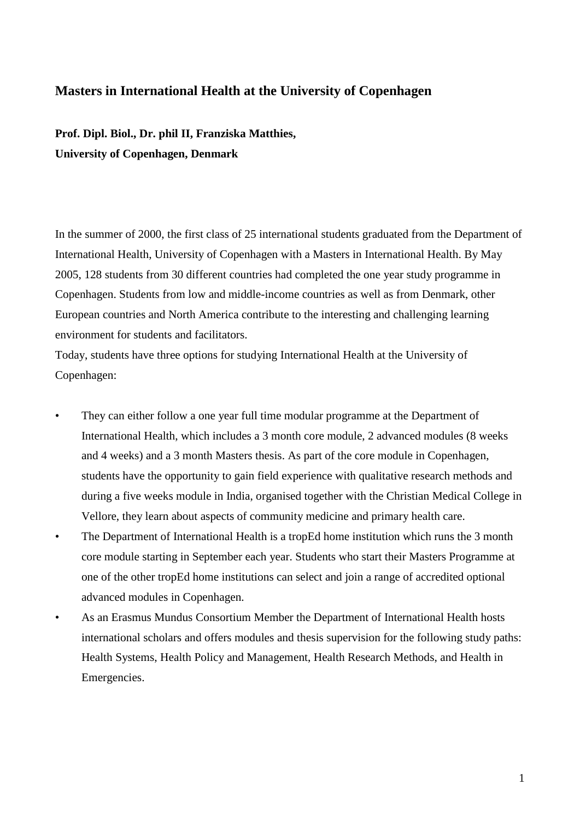## **Masters in International Health at the University of Copenhagen**

**Prof. Dipl. Biol., Dr. phil II, Franziska Matthies, University of Copenhagen, Denmark**

In the summer of 2000, the first class of 25 international students graduated from the Department of International Health, University of Copenhagen with a Masters in International Health. By May 2005, 128 students from 30 different countries had completed the one year study programme in Copenhagen. Students from low and middle-income countries as well as from Denmark, other European countries and North America contribute to the interesting and challenging learning environment for students and facilitators.

Today, students have three options for studying International Health at the University of Copenhagen:

- They can either follow a one year full time modular programme at the Department of International Health, which includes a 3 month core module, 2 advanced modules (8 weeks and 4 weeks) and a 3 month Masters thesis. As part of the core module in Copenhagen, students have the opportunity to gain field experience with qualitative research methods and during a five weeks module in India, organised together with the Christian Medical College in Vellore, they learn about aspects of community medicine and primary health care.
- The Department of International Health is a tropEd home institution which runs the 3 month core module starting in September each year. Students who start their Masters Programme at one of the other tropEd home institutions can select and join a range of accredited optional advanced modules in Copenhagen.
- As an Erasmus Mundus Consortium Member the Department of International Health hosts international scholars and offers modules and thesis supervision for the following study paths: Health Systems, Health Policy and Management, Health Research Methods, and Health in Emergencies.